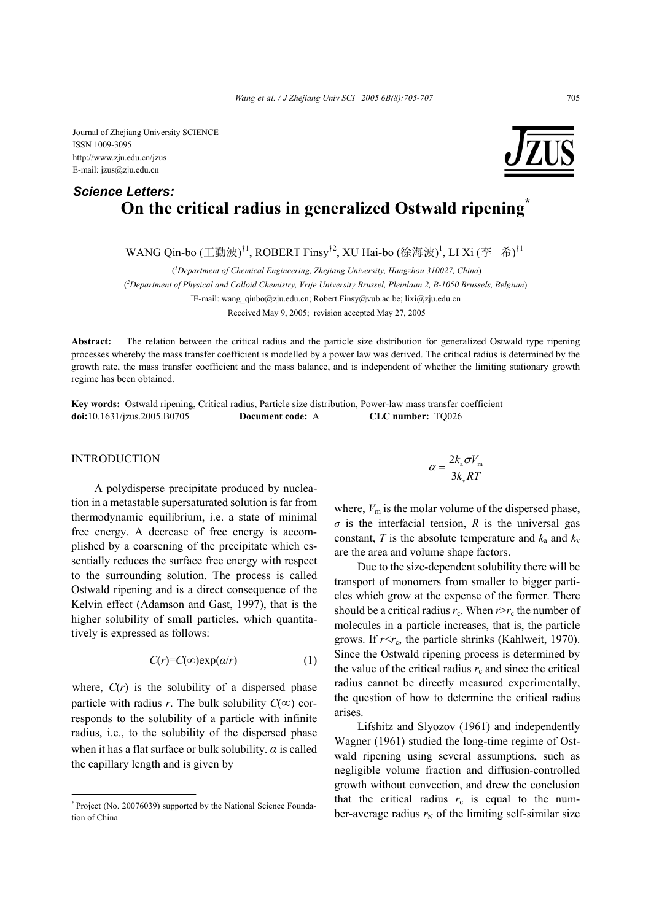## **On the critical radius in generalized Ostwald ripening\*** *Science Letters:*

WANG Qin-bo (王勤波)<sup>†1</sup>, ROBERT Finsy<sup>†2</sup>, XU Hai-bo (徐海波)<sup>1</sup>, LI Xi (李 希)<sup>†1</sup>

(*1 Department of Chemical Engineering, Zhejiang University, Hangzhou 310027, China*)

( *2 Department of Physical and Colloid Chemistry, Vrije University Brussel, Pleinlaan 2, B-1050 Brussels, Belgium*)

<sup>†</sup>E-mail: wang\_qinbo@zju.edu.cn; Robert.Finsy@vub.ac.be; lixi@zju.edu.cn

Received May 9, 2005; revision accepted May 27, 2005

**Abstract:** The relation between the critical radius and the particle size distribution for generalized Ostwald type ripening processes whereby the mass transfer coefficient is modelled by a power law was derived. The critical radius is determined by the growth rate, the mass transfer coefficient and the mass balance, and is independent of whether the limiting stationary growth regime has been obtained.

**Key words:** Ostwald ripening, Critical radius, Particle size distribution, Power-law mass transfer coefficient **doi:**10.1631/jzus.2005.B0705 **Document code:** A **CLC number:** TQ026

## **INTRODUCTION**

A polydisperse precipitate produced by nucleation in a metastable supersaturated solution is far from thermodynamic equilibrium, i.e. a state of minimal free energy. A decrease of free energy is accomplished by a coarsening of the precipitate which essentially reduces the surface free energy with respect to the surrounding solution. The process is called Ostwald ripening and is a direct consequence of the Kelvin effect (Adamson and Gast, 1997), that is the higher solubility of small particles, which quantitatively is expressed as follows:

$$
C(r) = C(\infty) \exp(\alpha/r) \tag{1}
$$

where,  $C(r)$  is the solubility of a dispersed phase particle with radius *r*. The bulk solubility  $C(\infty)$  corresponds to the solubility of a particle with infinite radius, i.e., to the solubility of the dispersed phase when it has a flat surface or bulk solubility.  $\alpha$  is called the capillary length and is given by

$$
\alpha = \frac{2k_{\rm a}\sigma V_{\rm m}}{3k_{\rm v}RT}
$$

where,  $V_m$  is the molar volume of the dispersed phase,  $\sigma$  is the interfacial tension, *R* is the universal gas constant, *T* is the absolute temperature and  $k_a$  and  $k_v$ are the area and volume shape factors.

Due to the size-dependent solubility there will be transport of monomers from smaller to bigger particles which grow at the expense of the former. There should be a critical radius  $r_c$ . When  $r > r_c$  the number of molecules in a particle increases, that is, the particle grows. If  $r < r<sub>c</sub>$ , the particle shrinks (Kahlweit, 1970). Since the Ostwald ripening process is determined by the value of the critical radius  $r_c$  and since the critical radius cannot be directly measured experimentally, the question of how to determine the critical radius arises.

Lifshitz and Slyozov (1961) and independently Wagner (1961) studied the long-time regime of Ostwald ripening using several assumptions, such as negligible volume fraction and diffusion-controlled growth without convection, and drew the conclusion that the critical radius  $r_c$  is equal to the number-average radius  $r_N$  of the limiting self-similar size

<sup>\*</sup> Project (No. 20076039) supported by the National Science Foundation of China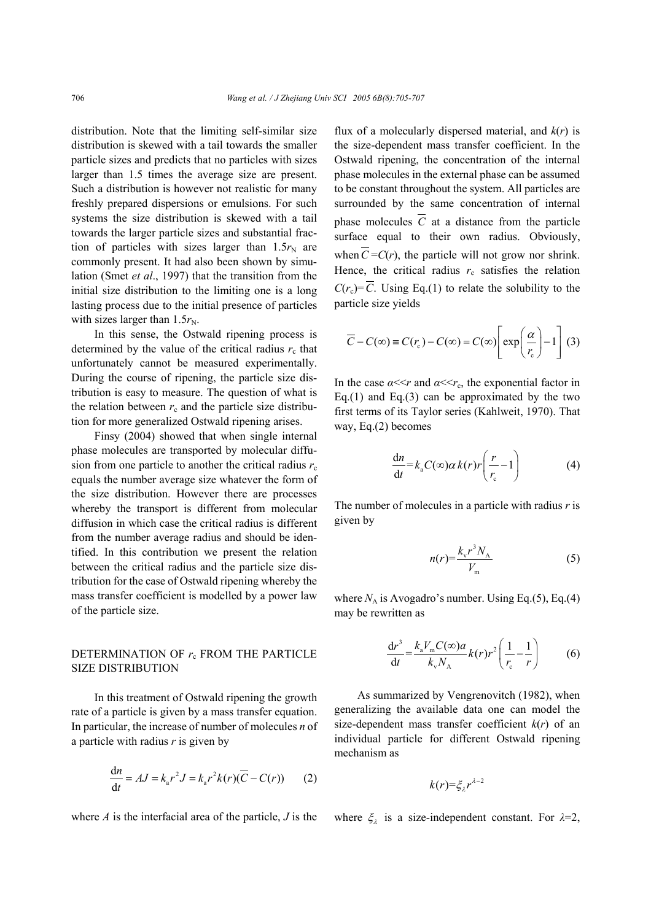distribution. Note that the limiting self-similar size distribution is skewed with a tail towards the smaller particle sizes and predicts that no particles with sizes larger than 1.5 times the average size are present. Such a distribution is however not realistic for many freshly prepared dispersions or emulsions. For such systems the size distribution is skewed with a tail towards the larger particle sizes and substantial fraction of particles with sizes larger than  $1.5r_N$  are commonly present. It had also been shown by simulation (Smet *et al*., 1997) that the transition from the initial size distribution to the limiting one is a long lasting process due to the initial presence of particles with sizes larger than  $1.5r_N$ .

In this sense, the Ostwald ripening process is determined by the value of the critical radius  $r_c$  that unfortunately cannot be measured experimentally. During the course of ripening, the particle size distribution is easy to measure. The question of what is the relation between  $r_c$  and the particle size distribution for more generalized Ostwald ripening arises.

Finsy (2004) showed that when single internal phase molecules are transported by molecular diffusion from one particle to another the critical radius  $r_c$ equals the number average size whatever the form of the size distribution. However there are processes whereby the transport is different from molecular diffusion in which case the critical radius is different from the number average radius and should be identified. In this contribution we present the relation between the critical radius and the particle size distribution for the case of Ostwald ripening whereby the mass transfer coefficient is modelled by a power law of the particle size.

## DETERMINATION OF  $r_c$  FROM THE PARTICLE SIZE DISTRIBUTION

In this treatment of Ostwald ripening the growth rate of a particle is given by a mass transfer equation. In particular, the increase of number of molecules *n* of a particle with radius *r* is given by

$$
\frac{\mathrm{d}n}{\mathrm{d}t} = AJ = k_{\mathrm{a}}r^2J = k_{\mathrm{a}}r^2k(r)(\overline{C} - C(r)) \qquad (2)
$$

where *A* is the interfacial area of the particle, *J* is the

flux of a molecularly dispersed material, and *k*(*r*) is the size-dependent mass transfer coefficient. In the Ostwald ripening, the concentration of the internal phase molecules in the external phase can be assumed to be constant throughout the system. All particles are surrounded by the same concentration of internal phase molecules  $\overline{C}$  at a distance from the particle surface equal to their own radius. Obviously, when  $\overline{C} = C(r)$ , the particle will not grow nor shrink. Hence, the critical radius  $r_c$  satisfies the relation  $C(r_c) = \overline{C}$ . Using Eq.(1) to relate the solubility to the particle size yields

$$
\overline{C} - C(\infty) \equiv C(r_c) - C(\infty) = C(\infty) \left[ \exp\left(\frac{\alpha}{r_c}\right) - 1 \right] (3)
$$

In the case  $\alpha \ll r$  and  $\alpha \ll r_c$ , the exponential factor in Eq.(1) and Eq.(3) can be approximated by the two first terms of its Taylor series (Kahlweit, 1970). That way, Eq.(2) becomes

$$
\frac{dn}{dt} = k_a C(\infty) \alpha k(r) r \left( \frac{r}{r_c} - 1 \right)
$$
 (4)

The number of molecules in a particle with radius *r* is given by

$$
n(r) = \frac{k_v r^3 N_A}{V_m} \tag{5}
$$

where  $N_A$  is Avogadro's number. Using Eq.(5), Eq.(4) may be rewritten as

$$
\frac{\mathrm{d}r^3}{\mathrm{d}t} = \frac{k_a V_m C(\infty) a}{k_v N_A} k(r) r^2 \left(\frac{1}{r_c} - \frac{1}{r}\right) \tag{6}
$$

As summarized by Vengrenovitch (1982), when generalizing the available data one can model the size-dependent mass transfer coefficient  $k(r)$  of an individual particle for different Ostwald ripening mechanism as

$$
k(r) = \xi_{\lambda} r^{\lambda - 2}
$$

where  $\xi_{\lambda}$  is a size-independent constant. For  $\lambda=2$ ,